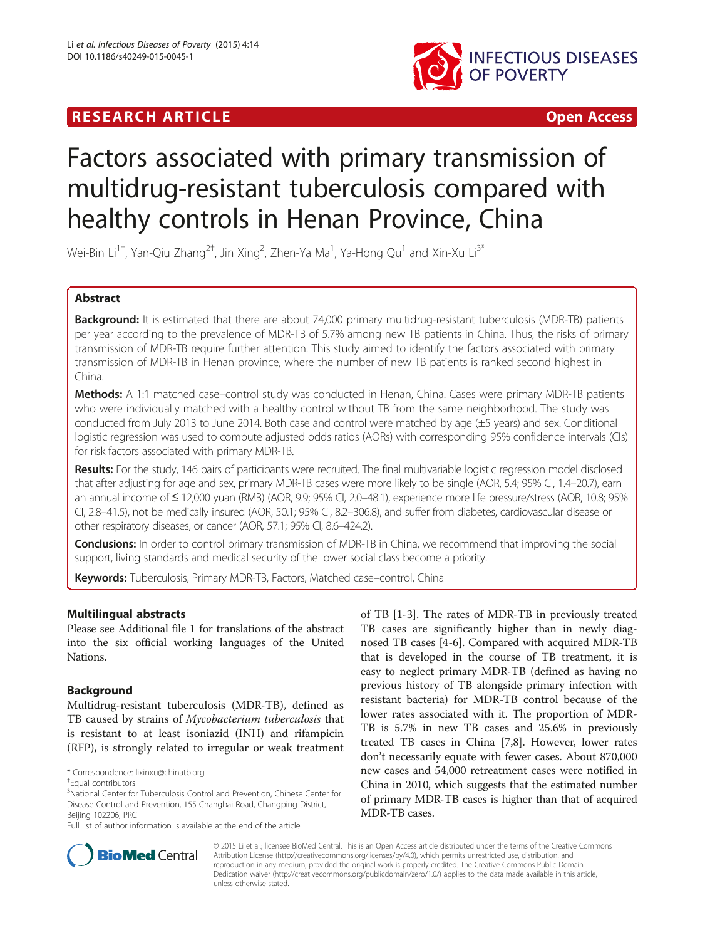# **RESEARCH ARTICLE EXECUTE: CONSIDERING A RESEARCH ARTICLE**



# Factors associated with primary transmission of multidrug-resistant tuberculosis compared with healthy controls in Henan Province, China

Wei-Bin Li $^{1\dagger}$ , Yan-Qiu Zhang $^{2\dagger}$ , Jin Xing $^2$ , Zhen-Ya Ma $^1$ , Ya-Hong Qu $^1$  and Xin-Xu Li $^{3^\ast}$ 

# Abstract

Background: It is estimated that there are about 74,000 primary multidrug-resistant tuberculosis (MDR-TB) patients per year according to the prevalence of MDR-TB of 5.7% among new TB patients in China. Thus, the risks of primary transmission of MDR-TB require further attention. This study aimed to identify the factors associated with primary transmission of MDR-TB in Henan province, where the number of new TB patients is ranked second highest in China.

Methods: A 1:1 matched case–control study was conducted in Henan, China. Cases were primary MDR-TB patients who were individually matched with a healthy control without TB from the same neighborhood. The study was conducted from July 2013 to June 2014. Both case and control were matched by age (±5 years) and sex. Conditional logistic regression was used to compute adjusted odds ratios (AORs) with corresponding 95% confidence intervals (CIs) for risk factors associated with primary MDR-TB.

Results: For the study, 146 pairs of participants were recruited. The final multivariable logistic regression model disclosed that after adjusting for age and sex, primary MDR-TB cases were more likely to be single (AOR, 5.4; 95% CI, 1.4–20.7), earn an annual income of ≤ 12,000 yuan (RMB) (AOR, 9.9; 95% CI, 2.0–48.1), experience more life pressure/stress (AOR, 10.8; 95% CI, 2.8–41.5), not be medically insured (AOR, 50.1; 95% CI, 8.2–306.8), and suffer from diabetes, cardiovascular disease or other respiratory diseases, or cancer (AOR, 57.1; 95% CI, 8.6–424.2).

Conclusions: In order to control primary transmission of MDR-TB in China, we recommend that improving the social support, living standards and medical security of the lower social class become a priority.

Keywords: Tuberculosis, Primary MDR-TB, Factors, Matched case-control, China

# Multilingual abstracts

Please see Additional file [1](#page-5-0) for translations of the abstract into the six official working languages of the United Nations.

# Background

Multidrug-resistant tuberculosis (MDR-TB), defined as TB caused by strains of Mycobacterium tuberculosis that is resistant to at least isoniazid (INH) and rifampicin (RFP), is strongly related to irregular or weak treatment

of TB [\[1](#page-5-0)-[3\]](#page-5-0). The rates of MDR-TB in previously treated TB cases are significantly higher than in newly diagnosed TB cases [\[4](#page-5-0)-[6\]](#page-5-0). Compared with acquired MDR-TB that is developed in the course of TB treatment, it is easy to neglect primary MDR-TB (defined as having no previous history of TB alongside primary infection with resistant bacteria) for MDR-TB control because of the lower rates associated with it. The proportion of MDR-TB is 5.7% in new TB cases and 25.6% in previously treated TB cases in China [[7](#page-5-0),[8](#page-5-0)]. However, lower rates don't necessarily equate with fewer cases. About 870,000 new cases and 54,000 retreatment cases were notified in China in 2010, which suggests that the estimated number of primary MDR-TB cases is higher than that of acquired MDR-TB cases.



© 2015 Li et al.; licensee BioMed Central. This is an Open Access article distributed under the terms of the Creative Commons Attribution License (<http://creativecommons.org/licenses/by/4.0>), which permits unrestricted use, distribution, and reproduction in any medium, provided the original work is properly credited. The Creative Commons Public Domain Dedication waiver [\(http://creativecommons.org/publicdomain/zero/1.0/](http://creativecommons.org/publicdomain/zero/1.0/)) applies to the data made available in this article, unless otherwise stated.

<sup>\*</sup> Correspondence: [lixinxu@chinatb.org](mailto:lixinxu@chinatb.org) †

Equal contributors

<sup>&</sup>lt;sup>3</sup>National Center for Tuberculosis Control and Prevention, Chinese Center for Disease Control and Prevention, 155 Changbai Road, Changping District, Beijing 102206, PRC

Full list of author information is available at the end of the article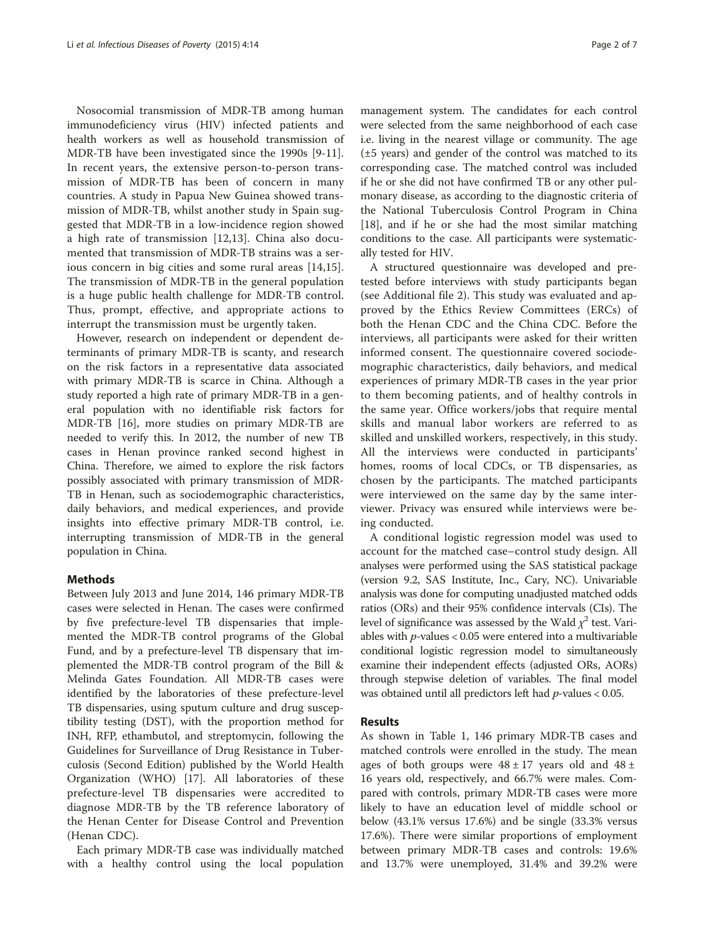Nosocomial transmission of MDR-TB among human immunodeficiency virus (HIV) infected patients and health workers as well as household transmission of MDR-TB have been investigated since the 1990s [[9-11](#page-5-0)]. In recent years, the extensive person-to-person transmission of MDR-TB has been of concern in many countries. A study in Papua New Guinea showed transmission of MDR-TB, whilst another study in Spain suggested that MDR-TB in a low-incidence region showed a high rate of transmission [[12,13\]](#page-5-0). China also documented that transmission of MDR-TB strains was a serious concern in big cities and some rural areas [[14,15](#page-5-0)]. The transmission of MDR-TB in the general population is a huge public health challenge for MDR-TB control. Thus, prompt, effective, and appropriate actions to interrupt the transmission must be urgently taken.

However, research on independent or dependent determinants of primary MDR-TB is scanty, and research on the risk factors in a representative data associated with primary MDR-TB is scarce in China. Although a study reported a high rate of primary MDR-TB in a general population with no identifiable risk factors for MDR-TB [[16](#page-5-0)], more studies on primary MDR-TB are needed to verify this. In 2012, the number of new TB cases in Henan province ranked second highest in China. Therefore, we aimed to explore the risk factors possibly associated with primary transmission of MDR-TB in Henan, such as sociodemographic characteristics, daily behaviors, and medical experiences, and provide insights into effective primary MDR-TB control, i.e. interrupting transmission of MDR-TB in the general population in China.

## Methods

Between July 2013 and June 2014, 146 primary MDR-TB cases were selected in Henan. The cases were confirmed by five prefecture-level TB dispensaries that implemented the MDR-TB control programs of the Global Fund, and by a prefecture-level TB dispensary that implemented the MDR-TB control program of the Bill & Melinda Gates Foundation. All MDR-TB cases were identified by the laboratories of these prefecture-level TB dispensaries, using sputum culture and drug susceptibility testing (DST), with the proportion method for INH, RFP, ethambutol, and streptomycin, following the Guidelines for Surveillance of Drug Resistance in Tuberculosis (Second Edition) published by the World Health Organization (WHO) [[17](#page-5-0)]. All laboratories of these prefecture-level TB dispensaries were accredited to diagnose MDR-TB by the TB reference laboratory of the Henan Center for Disease Control and Prevention (Henan CDC).

Each primary MDR-TB case was individually matched with a healthy control using the local population

management system. The candidates for each control were selected from the same neighborhood of each case i.e. living in the nearest village or community. The age (±5 years) and gender of the control was matched to its corresponding case. The matched control was included if he or she did not have confirmed TB or any other pulmonary disease, as according to the diagnostic criteria of the National Tuberculosis Control Program in China [[18\]](#page-5-0), and if he or she had the most similar matching conditions to the case. All participants were systematically tested for HIV.

A structured questionnaire was developed and pretested before interviews with study participants began (see Additional file [2](#page-5-0)). This study was evaluated and approved by the Ethics Review Committees (ERCs) of both the Henan CDC and the China CDC. Before the interviews, all participants were asked for their written informed consent. The questionnaire covered sociodemographic characteristics, daily behaviors, and medical experiences of primary MDR-TB cases in the year prior to them becoming patients, and of healthy controls in the same year. Office workers/jobs that require mental skills and manual labor workers are referred to as skilled and unskilled workers, respectively, in this study. All the interviews were conducted in participants' homes, rooms of local CDCs, or TB dispensaries, as chosen by the participants. The matched participants were interviewed on the same day by the same interviewer. Privacy was ensured while interviews were being conducted.

A conditional logistic regression model was used to account for the matched case–control study design. All analyses were performed using the SAS statistical package (version 9.2, SAS Institute, Inc., Cary, NC). Univariable analysis was done for computing unadjusted matched odds ratios (ORs) and their 95% confidence intervals (CIs). The level of significance was assessed by the Wald  $\chi^2$  test. Variables with  $p$ -values < 0.05 were entered into a multivariable conditional logistic regression model to simultaneously examine their independent effects (adjusted ORs, AORs) through stepwise deletion of variables. The final model was obtained until all predictors left had  $p$ -values < 0.05.

## Results

As shown in Table [1](#page-2-0), 146 primary MDR-TB cases and matched controls were enrolled in the study. The mean ages of both groups were  $48 \pm 17$  years old and  $48 \pm$ 16 years old, respectively, and 66.7% were males. Compared with controls, primary MDR-TB cases were more likely to have an education level of middle school or below (43.1% versus 17.6%) and be single (33.3% versus 17.6%). There were similar proportions of employment between primary MDR-TB cases and controls: 19.6% and 13.7% were unemployed, 31.4% and 39.2% were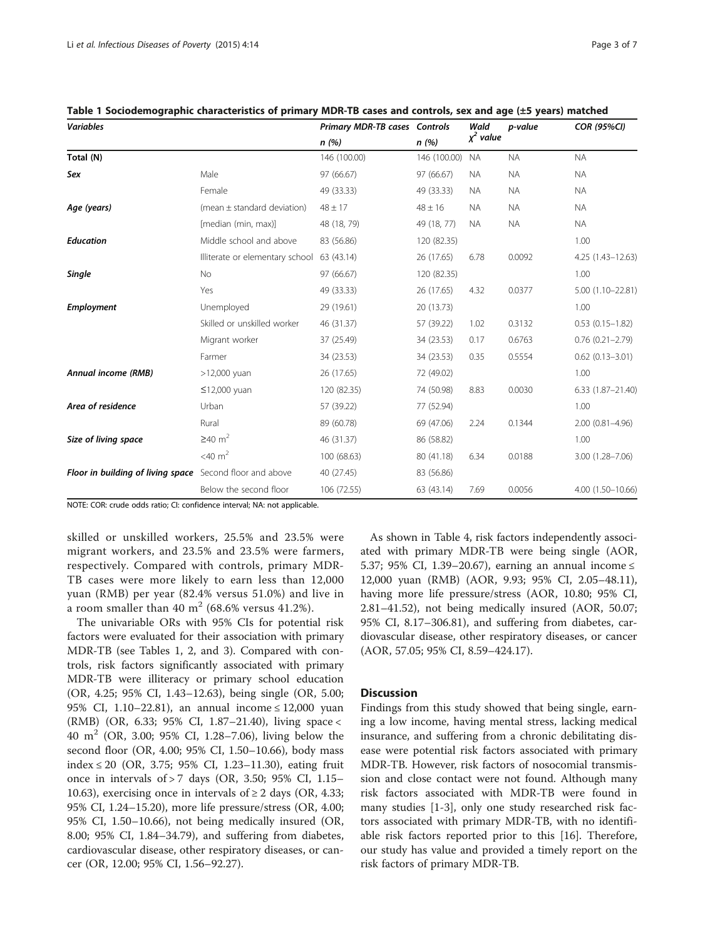| <b>Variables</b>                                         |                                            | <b>Primary MDR-TB cases Controls</b><br>n(%) |              | Wald           | p-value   | <b>COR (95%CI)</b>   |
|----------------------------------------------------------|--------------------------------------------|----------------------------------------------|--------------|----------------|-----------|----------------------|
|                                                          |                                            |                                              | n(%)         | $\chi^2$ value |           |                      |
| Total (N)                                                |                                            | 146 (100.00)                                 | 146 (100.00) | <b>NA</b>      | <b>NA</b> | <b>NA</b>            |
| Sex                                                      | Male                                       | 97 (66.67)                                   | 97 (66.67)   | <b>NA</b>      | <b>NA</b> | <b>NA</b>            |
|                                                          | Female                                     | 49 (33.33)                                   | 49 (33.33)   | <b>NA</b>      | <b>NA</b> | <b>NA</b>            |
| Age (years)                                              | (mean $\pm$ standard deviation)            | $48 \pm 17$                                  | $48 \pm 16$  | <b>NA</b>      | <b>NA</b> | <b>NA</b>            |
|                                                          | [median (min, max)]                        | 48 (18, 79)                                  | 49 (18, 77)  | <b>NA</b>      | <b>NA</b> | <b>NA</b>            |
| <b>Education</b>                                         | Middle school and above                    | 83 (56.86)                                   | 120 (82.35)  |                |           | 1.00                 |
|                                                          | Illiterate or elementary school 63 (43.14) |                                              | 26 (17.65)   | 6.78           | 0.0092    | 4.25 (1.43-12.63)    |
| Single                                                   | No                                         | 97 (66.67)                                   | 120 (82.35)  |                |           | 1.00                 |
|                                                          | Yes                                        | 49 (33.33)                                   | 26 (17.65)   | 4.32           | 0.0377    | 5.00 (1.10-22.81)    |
| <b>Employment</b>                                        | Unemployed                                 | 29 (19.61)                                   | 20 (13.73)   |                |           | 1.00                 |
|                                                          | Skilled or unskilled worker                | 46 (31.37)                                   | 57 (39.22)   | 1.02           | 0.3132    | $0.53(0.15 - 1.82)$  |
|                                                          | Migrant worker                             | 37 (25.49)                                   | 34 (23.53)   | 0.17           | 0.6763    | $0.76(0.21 - 2.79)$  |
|                                                          | Farmer                                     | 34 (23.53)                                   | 34 (23.53)   | 0.35           | 0.5554    | $0.62(0.13 - 3.01)$  |
| Annual income (RMB)                                      | $>12,000$ yuan                             | 26 (17.65)                                   | 72 (49.02)   |                |           | 1.00                 |
|                                                          | $\leq$ 12,000 yuan                         | 120 (82.35)                                  | 74 (50.98)   | 8.83           | 0.0030    | $6.33(1.87 - 21.40)$ |
| Area of residence                                        | Urban                                      | 57 (39.22)                                   | 77 (52.94)   |                |           | 1.00                 |
|                                                          | Rural                                      | 89 (60.78)                                   | 69 (47.06)   | 2.24           | 0.1344    | $2.00(0.81 - 4.96)$  |
| Size of living space                                     | $\geq 40$ m <sup>2</sup>                   | 46 (31.37)                                   | 86 (58.82)   |                |           | 1.00                 |
|                                                          | $<$ 40 m <sup>2</sup>                      | 100 (68.63)                                  | 80 (41.18)   | 6.34           | 0.0188    | 3.00 (1.28-7.06)     |
| Floor in building of living space Second floor and above |                                            | 40 (27.45)                                   | 83 (56.86)   |                |           |                      |
|                                                          | Below the second floor                     | 106 (72.55)                                  | 63 (43.14)   | 7.69           | 0.0056    | 4.00 (1.50-10.66)    |

<span id="page-2-0"></span>Table 1 Sociodemographic characteristics of primary MDR-TB cases and controls, sex and age (±5 years) matched

NOTE: COR: crude odds ratio; CI: confidence interval; NA: not applicable.

skilled or unskilled workers, 25.5% and 23.5% were migrant workers, and 23.5% and 23.5% were farmers, respectively. Compared with controls, primary MDR-TB cases were more likely to earn less than 12,000 yuan (RMB) per year (82.4% versus 51.0%) and live in a room smaller than 40 m<sup>2</sup> (68.6% versus 41.2%).

The univariable ORs with 95% CIs for potential risk factors were evaluated for their association with primary MDR-TB (see Tables 1, [2,](#page-3-0) and [3\)](#page-3-0). Compared with controls, risk factors significantly associated with primary MDR-TB were illiteracy or primary school education (OR, 4.25; 95% CI, 1.43–12.63), being single (OR, 5.00; 95% CI, 1.10−22.81), an annual income ≤ 12,000 yuan (RMB) (OR, 6.33; 95% CI, 1.87–21.40), living space < 40 m<sup>2</sup> (OR, 3.00; 95% CI, 1.28–7.06), living below the second floor (OR, 4.00; 95% CI, 1.50–10.66), body mass index ≤ 20 (OR, 3.75; 95% CI, 1.23–11.30), eating fruit once in intervals of  $> 7$  days (OR, 3.50; 95% CI, 1.15– 10.63), exercising once in intervals of  $\geq 2$  days (OR, 4.33; 95% CI, 1.24–15.20), more life pressure/stress (OR, 4.00; 95% CI, 1.50–10.66), not being medically insured (OR, 8.00; 95% CI, 1.84–34.79), and suffering from diabetes, cardiovascular disease, other respiratory diseases, or cancer (OR, 12.00; 95% CI, 1.56–92.27).

As shown in Table [4,](#page-4-0) risk factors independently associated with primary MDR-TB were being single (AOR, 5.37; 95% CI, 1.39–20.67), earning an annual income ≤ 12,000 yuan (RMB) (AOR, 9.93; 95% CI, 2.05–48.11), having more life pressure/stress (AOR, 10.80; 95% CI, 2.81–41.52), not being medically insured (AOR, 50.07; 95% CI, 8.17–306.81), and suffering from diabetes, cardiovascular disease, other respiratory diseases, or cancer (AOR, 57.05; 95% CI, 8.59–424.17).

## **Discussion**

Findings from this study showed that being single, earning a low income, having mental stress, lacking medical insurance, and suffering from a chronic debilitating disease were potential risk factors associated with primary MDR-TB. However, risk factors of nosocomial transmission and close contact were not found. Although many risk factors associated with MDR-TB were found in many studies [[1-3](#page-5-0)], only one study researched risk factors associated with primary MDR-TB, with no identifiable risk factors reported prior to this [[16](#page-5-0)]. Therefore, our study has value and provided a timely report on the risk factors of primary MDR-TB.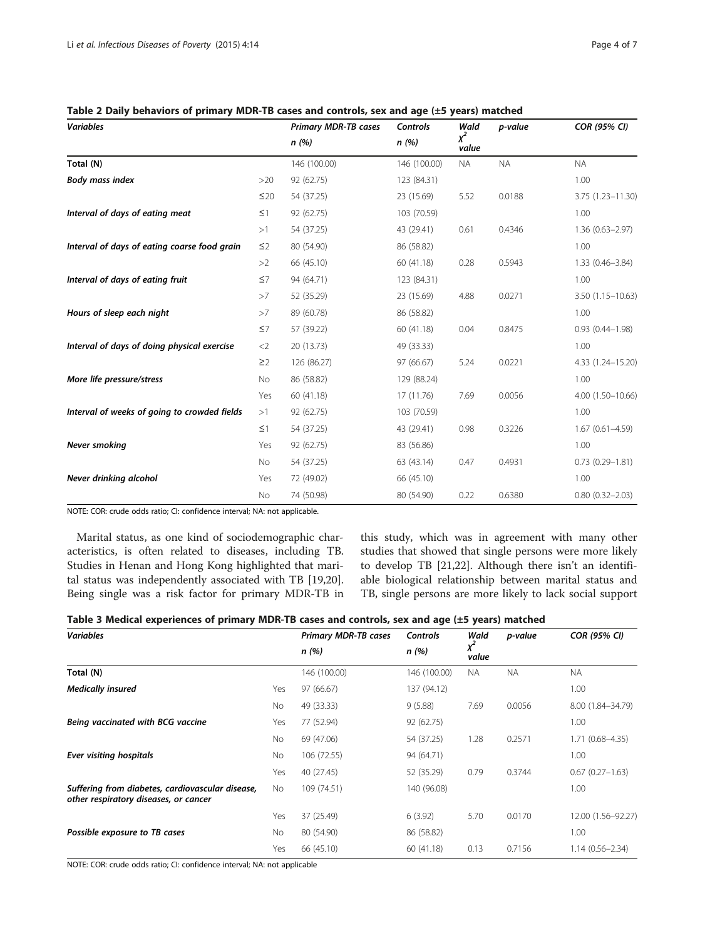| <b>Variables</b>                             |           | <b>Primary MDR-TB cases</b> | <b>Controls</b> | Wald                    | p-value   | <b>COR (95% CI)</b>  |
|----------------------------------------------|-----------|-----------------------------|-----------------|-------------------------|-----------|----------------------|
|                                              |           | n(%)                        | n (%)           | χ <sup>2</sup><br>value |           |                      |
| Total (N)                                    |           | 146 (100.00)                | 146 (100.00)    | <b>NA</b>               | <b>NA</b> | <b>NA</b>            |
| <b>Body mass index</b>                       | >20       | 92 (62.75)                  | 123 (84.31)     |                         |           | 1.00                 |
|                                              | $\leq$ 20 | 54 (37.25)                  | 23 (15.69)      | 5.52                    | 0.0188    | 3.75 (1.23-11.30)    |
| Interval of days of eating meat              | $\leq$ 1  | 92 (62.75)                  | 103 (70.59)     |                         |           | 1.00                 |
|                                              | >1        | 54 (37.25)                  | 43 (29.41)      | 0.61                    | 0.4346    | $1.36(0.63 - 2.97)$  |
| Interval of days of eating coarse food grain | $\leq$ 2  | 80 (54.90)                  | 86 (58.82)      |                         |           | 1.00                 |
|                                              | >2        | 66 (45.10)                  | 60 (41.18)      | 0.28                    | 0.5943    | $1.33(0.46 - 3.84)$  |
| Interval of days of eating fruit             | $\leq$ 7  | 94 (64.71)                  | 123 (84.31)     |                         |           | 1.00                 |
|                                              | >7        | 52 (35.29)                  | 23 (15.69)      | 4.88                    | 0.0271    | $3.50(1.15 - 10.63)$ |
| Hours of sleep each night                    | >7        | 89 (60.78)                  | 86 (58.82)      |                         |           | 1.00                 |
|                                              | $\leq$ 7  | 57 (39.22)                  | 60 (41.18)      | 0.04                    | 0.8475    | $0.93(0.44 - 1.98)$  |
| Interval of days of doing physical exercise  | $<$ 2     | 20 (13.73)                  | 49 (33.33)      |                         |           | 1.00                 |
|                                              | $\geq$ 2  | 126 (86.27)                 | 97 (66.67)      | 5.24                    | 0.0221    | 4.33 (1.24-15.20)    |
| More life pressure/stress                    | No        | 86 (58.82)                  | 129 (88.24)     |                         |           | 1.00                 |
|                                              | Yes       | 60(41.18)                   | 17 (11.76)      | 7.69                    | 0.0056    | 4.00 (1.50-10.66)    |
| Interval of weeks of going to crowded fields | >1        | 92 (62.75)                  | 103 (70.59)     |                         |           | 1.00                 |
|                                              | $\leq$ 1  | 54 (37.25)                  | 43 (29.41)      | 0.98                    | 0.3226    | $1.67(0.61 - 4.59)$  |
| Never smoking                                | Yes       | 92 (62.75)                  | 83 (56.86)      |                         |           | 1.00                 |
|                                              | No        | 54 (37.25)                  | 63 (43.14)      | 0.47                    | 0.4931    | $0.73(0.29 - 1.81)$  |
| Never drinking alcohol                       | Yes       | 72 (49.02)                  | 66 (45.10)      |                         |           | 1.00                 |
|                                              | No        | 74 (50.98)                  | 80 (54.90)      | 0.22                    | 0.6380    | $0.80(0.32 - 2.03)$  |

<span id="page-3-0"></span>Table 2 Daily behaviors of primary MDR-TB cases and controls, sex and age (±5 years) matched

NOTE: COR: crude odds ratio; CI: confidence interval; NA: not applicable.

Marital status, as one kind of sociodemographic characteristics, is often related to diseases, including TB. Studies in Henan and Hong Kong highlighted that marital status was independently associated with TB [\[19,20](#page-6-0)]. Being single was a risk factor for primary MDR-TB in this study, which was in agreement with many other studies that showed that single persons were more likely to develop TB [\[21,22](#page-6-0)]. Although there isn't an identifiable biological relationship between marital status and TB, single persons are more likely to lack social support

| Table 3 Medical experiences of primary MDR-TB cases and controls, sex and age (±5 years) matched |  |  |  |  |
|--------------------------------------------------------------------------------------------------|--|--|--|--|
|--------------------------------------------------------------------------------------------------|--|--|--|--|

| <b>Variables</b>                                                                          |     | <b>Primary MDR-TB cases</b> | <b>Controls</b> | Wald       | p-value   | <b>COR (95% CI)</b> |
|-------------------------------------------------------------------------------------------|-----|-----------------------------|-----------------|------------|-----------|---------------------|
|                                                                                           |     | n(%)                        | n(%)            | χ<br>value |           |                     |
| Total (N)                                                                                 |     | 146 (100.00)                | 146 (100.00)    | <b>NA</b>  | <b>NA</b> | <b>NA</b>           |
| <b>Medically insured</b>                                                                  | Yes | 97 (66.67)                  | 137 (94.12)     |            |           | 1.00                |
|                                                                                           | No  | 49 (33.33)                  | 9(5.88)         | 7.69       | 0.0056    | 8.00 (1.84-34.79)   |
| Being vaccinated with BCG vaccine                                                         | Yes | 77 (52.94)                  | 92 (62.75)      |            |           | 1.00                |
|                                                                                           | No  | 69 (47.06)                  | 54 (37.25)      | 1.28       | 0.2571    | $1.71(0.68 - 4.35)$ |
| <b>Ever visiting hospitals</b>                                                            | No  | 106 (72.55)                 | 94 (64.71)      |            |           | 1.00                |
|                                                                                           | Yes | 40 (27.45)                  | 52 (35.29)      | 0.79       | 0.3744    | $0.67(0.27 - 1.63)$ |
| Suffering from diabetes, cardiovascular disease,<br>other respiratory diseases, or cancer | No  | 109 (74.51)                 | 140 (96.08)     |            |           | 1.00                |
|                                                                                           | Yes | 37 (25.49)                  | 6(3.92)         | 5.70       | 0.0170    | 12.00 (1.56-92.27)  |
| Possible exposure to TB cases                                                             | No  | 80 (54.90)                  | 86 (58.82)      |            |           | 1.00                |
| $\sim$                                                                                    | Yes | 66 (45.10)                  | 60 (41.18)      | 0.13       | 0.7156    | $1.14(0.56 - 2.34)$ |

NOTE: COR: crude odds ratio; CI: confidence interval; NA: not applicable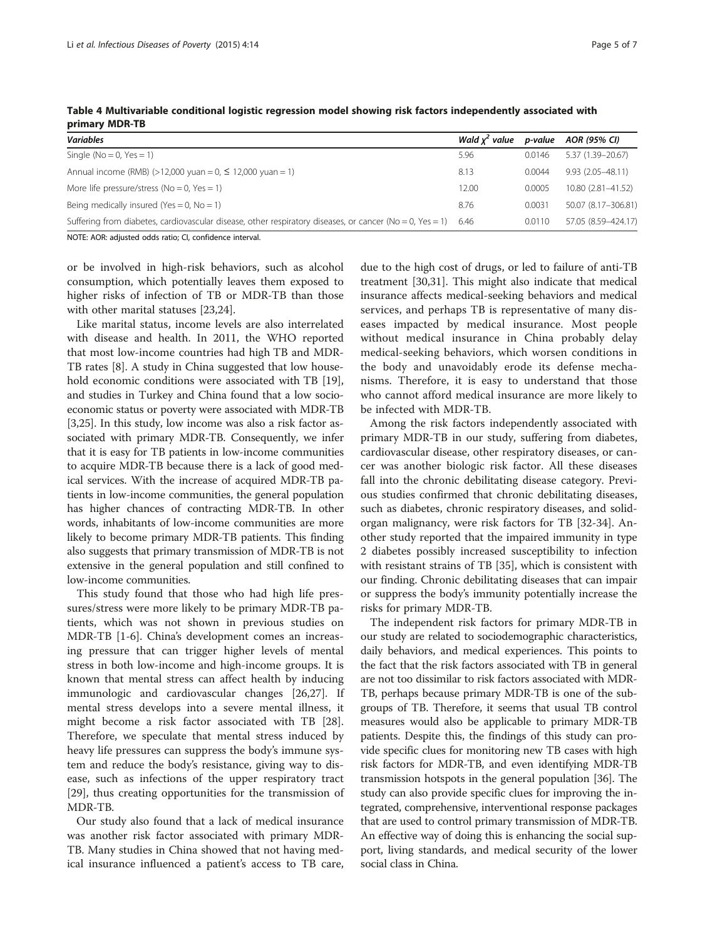| <b>Variables</b>                                                                                                     | Wald $x^2$ value | p-value | AOR (95% CI)         |
|----------------------------------------------------------------------------------------------------------------------|------------------|---------|----------------------|
| Single ( $No = 0$ , $Yes = 1$ )                                                                                      | 5.96             | 0.0146  | 5.37 (1.39 - 20.67)  |
| Annual income (RMB) (>12,000 yuan = $0, \le 12,000$ yuan = 1)                                                        | 8.13             | 0.0044  | $9.93(2.05 - 48.11)$ |
| More life pressure/stress ( $No = 0$ , $Yes = 1$ )                                                                   | 12.00            | 0.0005  | 10.80 (2.81-41.52)   |
| Being medically insured (Yes = 0, $No = 1$ )                                                                         | 8.76             | 0.0031  | 50.07 (8.17-306.81)  |
| Suffering from diabetes, cardiovascular disease, other respiratory diseases, or cancer ( $No = 0$ , $Yes = 1$ ) 6.46 |                  | 0.0110  | 57.05 (8.59-424.17)  |

<span id="page-4-0"></span>Table 4 Multivariable conditional logistic regression model showing risk factors independently associated with primary MDR-TB

NOTE: AOR: adjusted odds ratio; CI, confidence interval.

or be involved in high-risk behaviors, such as alcohol consumption, which potentially leaves them exposed to higher risks of infection of TB or MDR-TB than those with other marital statuses [[23,24\]](#page-6-0).

Like marital status, income levels are also interrelated with disease and health. In 2011, the WHO reported that most low-income countries had high TB and MDR-TB rates [[8\]](#page-5-0). A study in China suggested that low household economic conditions were associated with TB [\[19](#page-6-0)], and studies in Turkey and China found that a low socioeconomic status or poverty were associated with MDR-TB [[3,](#page-5-0)[25](#page-6-0)]. In this study, low income was also a risk factor associated with primary MDR-TB. Consequently, we infer that it is easy for TB patients in low-income communities to acquire MDR-TB because there is a lack of good medical services. With the increase of acquired MDR-TB patients in low-income communities, the general population has higher chances of contracting MDR-TB. In other words, inhabitants of low-income communities are more likely to become primary MDR-TB patients. This finding also suggests that primary transmission of MDR-TB is not extensive in the general population and still confined to low-income communities.

This study found that those who had high life pressures/stress were more likely to be primary MDR-TB patients, which was not shown in previous studies on MDR-TB [[1-6\]](#page-5-0). China's development comes an increasing pressure that can trigger higher levels of mental stress in both low-income and high-income groups. It is known that mental stress can affect health by inducing immunologic and cardiovascular changes [[26,27\]](#page-6-0). If mental stress develops into a severe mental illness, it might become a risk factor associated with TB [\[28](#page-6-0)]. Therefore, we speculate that mental stress induced by heavy life pressures can suppress the body's immune system and reduce the body's resistance, giving way to disease, such as infections of the upper respiratory tract [[29\]](#page-6-0), thus creating opportunities for the transmission of MDR-TB.

Our study also found that a lack of medical insurance was another risk factor associated with primary MDR-TB. Many studies in China showed that not having medical insurance influenced a patient's access to TB care,

due to the high cost of drugs, or led to failure of anti-TB treatment [[30](#page-6-0),[31](#page-6-0)]. This might also indicate that medical insurance affects medical-seeking behaviors and medical services, and perhaps TB is representative of many diseases impacted by medical insurance. Most people without medical insurance in China probably delay medical-seeking behaviors, which worsen conditions in the body and unavoidably erode its defense mechanisms. Therefore, it is easy to understand that those who cannot afford medical insurance are more likely to be infected with MDR-TB.

Among the risk factors independently associated with primary MDR-TB in our study, suffering from diabetes, cardiovascular disease, other respiratory diseases, or cancer was another biologic risk factor. All these diseases fall into the chronic debilitating disease category. Previous studies confirmed that chronic debilitating diseases, such as diabetes, chronic respiratory diseases, and solidorgan malignancy, were risk factors for TB [[32](#page-6-0)-[34\]](#page-6-0). Another study reported that the impaired immunity in type 2 diabetes possibly increased susceptibility to infection with resistant strains of TB [[35\]](#page-6-0), which is consistent with our finding. Chronic debilitating diseases that can impair or suppress the body's immunity potentially increase the risks for primary MDR-TB.

The independent risk factors for primary MDR-TB in our study are related to sociodemographic characteristics, daily behaviors, and medical experiences. This points to the fact that the risk factors associated with TB in general are not too dissimilar to risk factors associated with MDR-TB, perhaps because primary MDR-TB is one of the subgroups of TB. Therefore, it seems that usual TB control measures would also be applicable to primary MDR-TB patients. Despite this, the findings of this study can provide specific clues for monitoring new TB cases with high risk factors for MDR-TB, and even identifying MDR-TB transmission hotspots in the general population [[36](#page-6-0)]. The study can also provide specific clues for improving the integrated, comprehensive, interventional response packages that are used to control primary transmission of MDR-TB. An effective way of doing this is enhancing the social support, living standards, and medical security of the lower social class in China.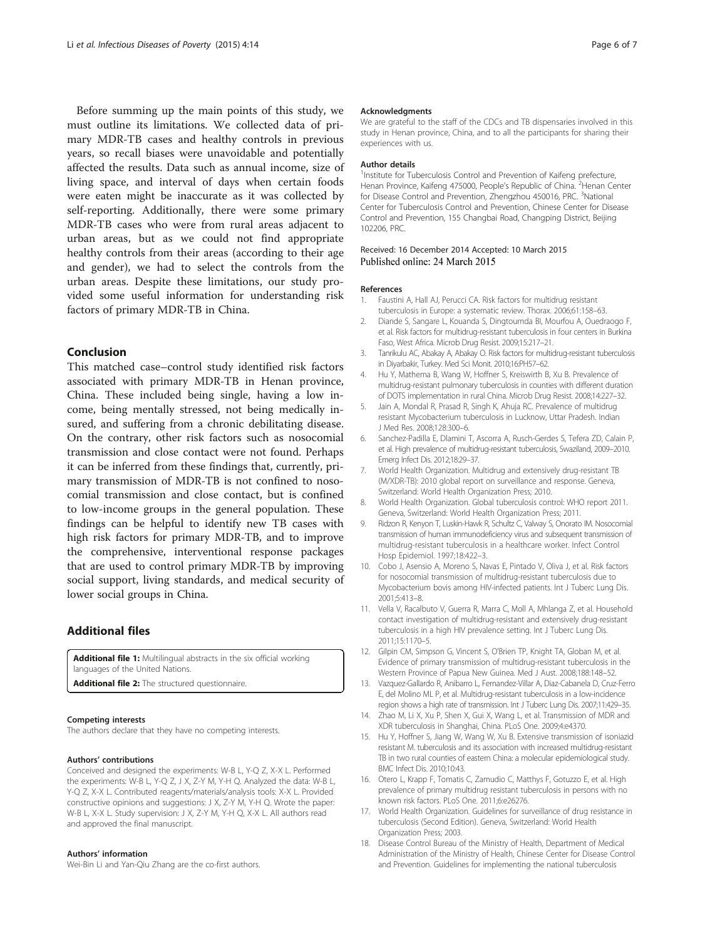<span id="page-5-0"></span>Before summing up the main points of this study, we must outline its limitations. We collected data of primary MDR-TB cases and healthy controls in previous years, so recall biases were unavoidable and potentially affected the results. Data such as annual income, size of living space, and interval of days when certain foods were eaten might be inaccurate as it was collected by self-reporting. Additionally, there were some primary MDR-TB cases who were from rural areas adjacent to urban areas, but as we could not find appropriate healthy controls from their areas (according to their age and gender), we had to select the controls from the urban areas. Despite these limitations, our study provided some useful information for understanding risk factors of primary MDR-TB in China.

## Conclusion

This matched case–control study identified risk factors associated with primary MDR-TB in Henan province, China. These included being single, having a low income, being mentally stressed, not being medically insured, and suffering from a chronic debilitating disease. On the contrary, other risk factors such as nosocomial transmission and close contact were not found. Perhaps it can be inferred from these findings that, currently, primary transmission of MDR-TB is not confined to nosocomial transmission and close contact, but is confined to low-income groups in the general population. These findings can be helpful to identify new TB cases with high risk factors for primary MDR-TB, and to improve the comprehensive, interventional response packages that are used to control primary MDR-TB by improving social support, living standards, and medical security of lower social groups in China.

# Additional files

[Additional file 1:](http://www.idpjournal.com/content/supplementary/s40249-015-0045-1-s1.pdf) Multilingual abstracts in the six official working languages of the United Nations.

[Additional file 2:](http://www.idpjournal.com/content/supplementary/s40249-015-0045-1-s2.doc) The structured questionnaire.

### Competing interests

The authors declare that they have no competing interests.

#### Authors' contributions

Conceived and designed the experiments: W-B L, Y-Q Z, X-X L. Performed the experiments: W-B L, Y-Q Z, J X, Z-Y M, Y-H Q. Analyzed the data: W-B L, Y-Q Z, X-X L. Contributed reagents/materials/analysis tools: X-X L. Provided constructive opinions and suggestions: J X, Z-Y M, Y-H Q. Wrote the paper: W-B L, X-X L. Study supervision: J X, Z-Y M, Y-H Q, X-X L. All authors read and approved the final manuscript.

#### Authors' information

Wei-Bin Li and Yan-Qiu Zhang are the co-first authors.

#### Acknowledgments

We are grateful to the staff of the CDCs and TB dispensaries involved in this study in Henan province, China, and to all the participants for sharing their experiences with us.

#### Author details

<sup>1</sup>Institute for Tuberculosis Control and Prevention of Kaifeng prefecture, Henan Province, Kaifeng 475000, People's Republic of China. <sup>2</sup>Henan Center for Disease Control and Prevention, Zhengzhou 450016, PRC. <sup>3</sup>National Center for Tuberculosis Control and Prevention, Chinese Center for Disease Control and Prevention, 155 Changbai Road, Changping District, Beijing 102206, PRC.

### Received: 16 December 2014 Accepted: 10 March 2015 Published online: 24 March 2015

## References

- 1. Faustini A, Hall AJ, Perucci CA. Risk factors for multidrug resistant tuberculosis in Europe: a systematic review. Thorax. 2006;61:158–63.
- 2. Diande S, Sangare L, Kouanda S, Dingtoumda BI, Mourfou A, Ouedraogo F, et al. Risk factors for multidrug-resistant tuberculosis in four centers in Burkina Faso, West Africa. Microb Drug Resist. 2009;15:217–21.
- 3. Tanrikulu AC, Abakay A, Abakay O. Risk factors for multidrug-resistant tuberculosis in Diyarbakir, Turkey. Med Sci Monit. 2010;16:PH57–62.
- 4. Hu Y, Mathema B, Wang W, Hoffner S, Kreiswirth B, Xu B. Prevalence of multidrug-resistant pulmonary tuberculosis in counties with different duration of DOTS implementation in rural China. Microb Drug Resist. 2008;14:227–32.
- 5. Jain A, Mondal R, Prasad R, Singh K, Ahuja RC. Prevalence of multidrug resistant Mycobacterium tuberculosis in Lucknow, Uttar Pradesh. Indian J Med Res. 2008;128:300–6.
- 6. Sanchez-Padilla E, Dlamini T, Ascorra A, Rusch-Gerdes S, Tefera ZD, Calain P, et al. High prevalence of multidrug-resistant tuberculosis, Swaziland, 2009–2010. Emerg Infect Dis. 2012;18:29–37.
- 7. World Health Organization. Multidrug and extensively drug-resistant TB (M/XDR-TB): 2010 global report on surveillance and response. Geneva, Switzerland: World Health Organization Press; 2010.
- 8. World Health Organization. Global tuberculosis control: WHO report 2011. Geneva, Switzerland: World Health Organization Press; 2011.
- 9. Ridzon R, Kenyon T, Luskin-Hawk R, Schultz C, Valway S, Onorato IM. Nosocomial transmission of human immunodeficiency virus and subsequent transmission of multidrug-resistant tuberculosis in a healthcare worker. Infect Control Hosp Epidemiol. 1997;18:422–3.
- 10. Cobo J, Asensio A, Moreno S, Navas E, Pintado V, Oliva J, et al. Risk factors for nosocomial transmission of multidrug-resistant tuberculosis due to Mycobacterium bovis among HIV-infected patients. Int J Tuberc Lung Dis. 2001;5:413–8.
- 11. Vella V, Racalbuto V, Guerra R, Marra C, Moll A, Mhlanga Z, et al. Household contact investigation of multidrug-resistant and extensively drug-resistant tuberculosis in a high HIV prevalence setting. Int J Tuberc Lung Dis. 2011;15:1170–5.
- 12. Gilpin CM, Simpson G, Vincent S, O'Brien TP, Knight TA, Globan M, et al. Evidence of primary transmission of multidrug-resistant tuberculosis in the Western Province of Papua New Guinea. Med J Aust. 2008;188:148–52.
- 13. Vazquez-Gallardo R, Anibarro L, Fernandez-Villar A, Diaz-Cabanela D, Cruz-Ferro E, del Molino ML P, et al. Multidrug-resistant tuberculosis in a low-incidence region shows a high rate of transmission. Int J Tuberc Lung Dis. 2007;11:429–35.
- 14. Zhao M, Li X, Xu P, Shen X, Gui X, Wang L, et al. Transmission of MDR and XDR tuberculosis in Shanghai, China. PLoS One. 2009;4:e4370.
- 15. Hu Y, Hoffner S, Jiang W, Wang W, Xu B. Extensive transmission of isoniazid resistant M. tuberculosis and its association with increased multidrug-resistant TB in two rural counties of eastern China: a molecular epidemiological study. BMC Infect Dis. 2010;10:43.
- 16. Otero L, Krapp F, Tomatis C, Zamudio C, Matthys F, Gotuzzo E, et al. High prevalence of primary multidrug resistant tuberculosis in persons with no known risk factors. PLoS One. 2011;6:e26276.
- 17. World Health Organization. Guidelines for surveillance of drug resistance in tuberculosis (Second Edition). Geneva, Switzerland: World Health Organization Press; 2003.
- 18. Disease Control Bureau of the Ministry of Health, Department of Medical Administration of the Ministry of Health, Chinese Center for Disease Control and Prevention. Guidelines for implementing the national tuberculosis